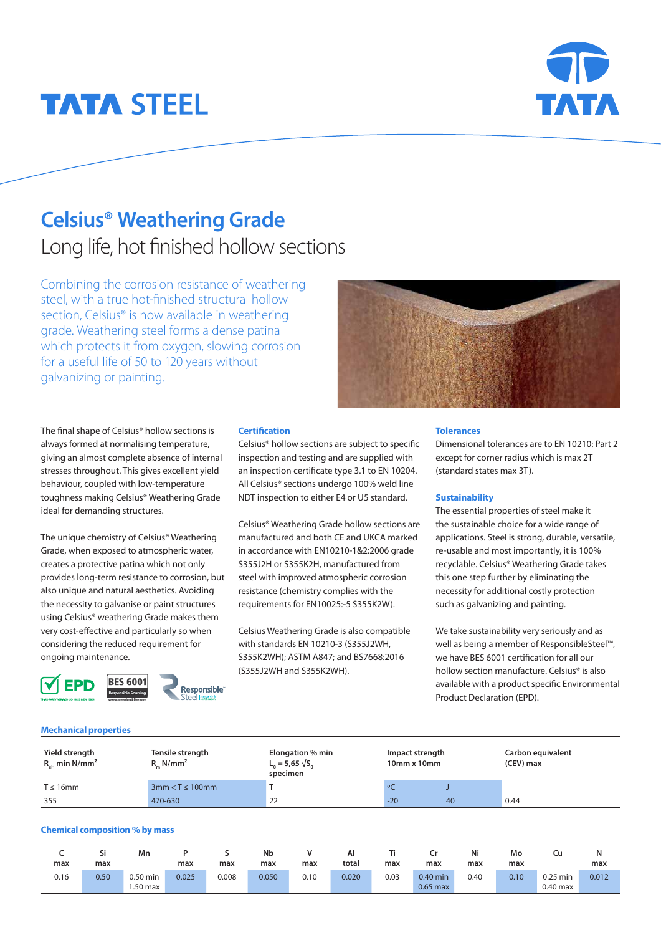# **TATA STEEL**



## **Celsius® Weathering Grade**  Long life, hot finished hollow sections

Combining the corrosion resistance of weathering steel, with a true hot-finished structural hollow section, Celsius<sup>®</sup> is now available in weathering grade. Weathering steel forms a dense patina which protects it from oxygen, slowing corrosion for a useful life of 50 to 120 years without galvanizing or painting.



The final shape of Celsius® hollow sections is always formed at normalising temperature, giving an almost complete absence of internal stresses throughout. This gives excellent yield behaviour, coupled with low-temperature toughness making Celsius® Weathering Grade ideal for demanding structures.

The unique chemistry of Celsius® Weathering Grade, when exposed to atmospheric water, creates a protective patina which not only provides long-term resistance to corrosion, but also unique and natural aesthetics. Avoiding the necessity to galvanise or paint structures using Celsius® weathering Grade makes them very cost-effective and particularly so when considering the reduced requirement for ongoing maintenance.



#### **Certification**

Celsius® hollow sections are subject to specific inspection and testing and are supplied with an inspection certificate type 3.1 to EN 10204. All Celsius® sections undergo 100% weld line NDT inspection to either E4 or U5 standard.

Celsius® Weathering Grade hollow sections are manufactured and both CE and UKCA marked in accordance with EN10210-1&2:2006 grade S355J2H or S355K2H, manufactured from steel with improved atmospheric corrosion resistance (chemistry complies with the requirements for EN10025:-5 S355K2W).

Celsius Weathering Grade is also compatible with standards EN 10210-3 (S355J2WH, S355K2WH); ASTM A847; and BS7668:2016 (S355J2WH and S355K2WH).

#### **Tolerances**

Dimensional tolerances are to EN 10210: Part 2 except for corner radius which is max 2T (standard states max 3T).

#### **Sustainability**

The essential properties of steel make it the sustainable choice for a wide range of applications. Steel is strong, durable, versatile, re-usable and most importantly, it is 100% recyclable. Celsius® Weathering Grade takes this one step further by eliminating the necessity for additional costly protection such as galvanizing and painting.

We take sustainability very seriously and as well as being a member of ResponsibleSteel™, we have BES 6001 certification for all our hollow section manufacture. Celsius® is also available with a product specific Environmental Product Declaration (EPD).

#### **Mechanical properties**

| Yield strength<br>$R_{\text{eff}}$ min N/mm <sup>2</sup> | Tensile strength<br>$R$ <sub>n</sub> N/mm <sup>2</sup> | Elongation % min<br>$L_{0} = 5,65 \sqrt{S_{0}}$<br>specimen | Impact strength<br>10mm x 10mm |    | Carbon equivalent<br>(CEV) max |
|----------------------------------------------------------|--------------------------------------------------------|-------------------------------------------------------------|--------------------------------|----|--------------------------------|
| $T \leq 16$ mm                                           | $3mm < T \leq 100mm$                                   |                                                             |                                |    |                                |
| 355                                                      | 470-630                                                | 22                                                          | $-20$                          | 40 | 0.44                           |

#### **Chemical composition % by mass**

| max  | Si<br>max | Mn                    | max   | max   | Nb<br>max | max  | Al<br>total | max  | max                      | Ni<br>max | Mo<br>max | Cu                       | Ν<br>max |
|------|-----------|-----------------------|-------|-------|-----------|------|-------------|------|--------------------------|-----------|-----------|--------------------------|----------|
| 0.16 | 0.50      | $0.50$ min<br>.50 max | 0.025 | 0.008 | 0.050     | 0.10 | 0.020       | 0.03 | $0.40$ min<br>$0.65$ max | 0.40      | 0.10      | $0.25$ min<br>$0.40$ max | 0.012    |